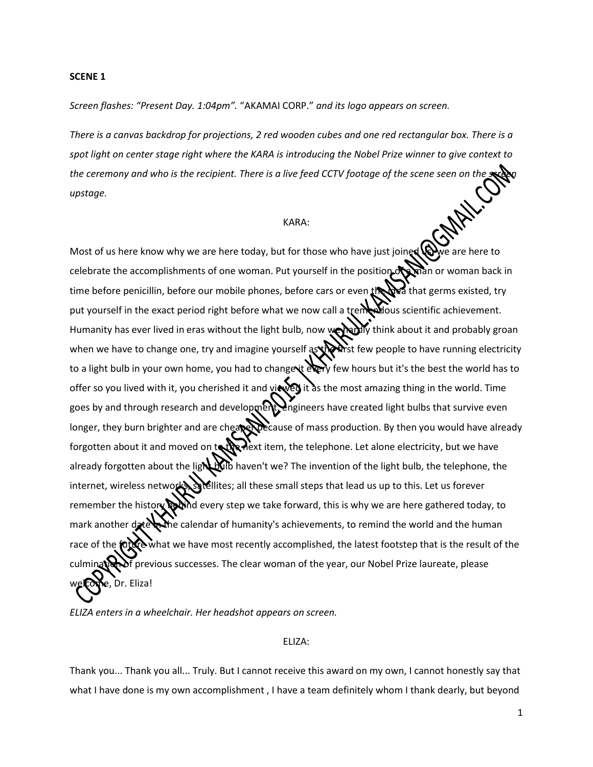#### **SCENE 1**

*Screen flashes: "Present Day. 1:04pm".* "AKAMAI CORP." *and its logo appears on screen.*

*There is a canvas backdrop for projections, 2 red wooden cubes and one red rectangular box. There is a spot light on center stage right where the KARA is introducing the Nobel Prize winner to give context to the ceremony and who is the recipient. There is a live feed CCTV footage of the scene seen on the upstage.*

## KARA:

Most of us here know why we are here today, but for those who have just joined  $\mathbb{Q}$  we are here to celebrate the accomplishments of one woman. Put yourself in the position of a man or woman back in time before penicillin, before our mobile phones, before cars or even the beat that germs existed, try put yourself in the exact period right before what we now call a tremendous scientific achievement. Humanity has ever lived in eras without the light bulb, now we hadly think about it and probably groan when we have to change one, try and imagine yourself as the first few people to have running electricity to a light bulb in your own home, you had to change it every few hours but it's the best the world has to offer so you lived with it, you cherished it and viewed it as the most amazing thing in the world. Time goes by and through research and development, engineers have created light bulbs that survive even longer, they burn brighter and are cheaper because of mass production. By then you would have already forgotten about it and moved on to the next item, the telephone. Let alone electricity, but we have already forgotten about the light bulb haven't we? The invention of the light bulb, the telephone, the internet, wireless networks, satellites; all these small steps that lead us up to this. Let us forever remember the history **begind** every step we take forward, this is why we are here gathered today, to mark another date the calendar of humanity's achievements, to remind the world and the human  $\Omega$  what we have most recently accomplished, the latest footstep that is the result of the  $\bar{f}$  previous successes. The clear woman of the year, our Nobel Prize laureate, please Dr. Eliza!

*ELIZA enters in a wheelchair. Her headshot appears on screen.*

### ELIZA:

Thank you... Thank you all... Truly. But I cannot receive this award on my own, I cannot honestly say that what I have done is my own accomplishment , I have a team definitely whom I thank dearly, but beyond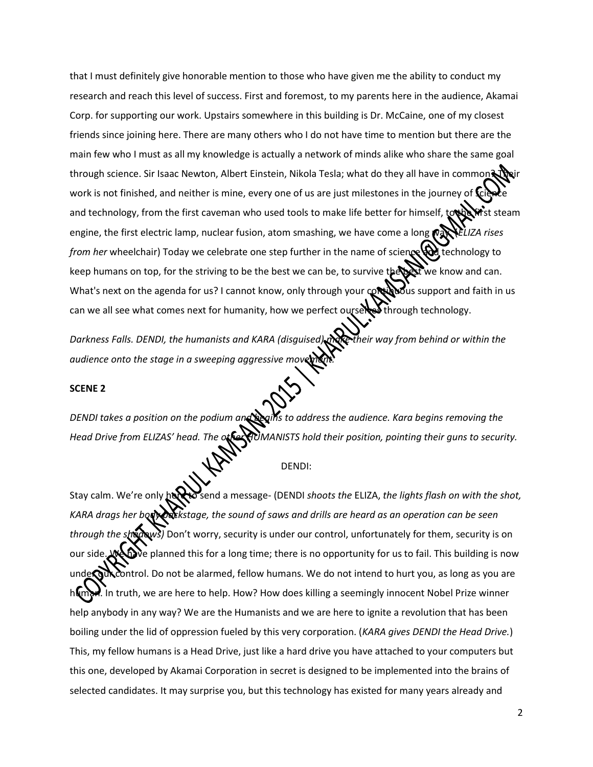that I must definitely give honorable mention to those who have given me the ability to conduct my research and reach this level of success. First and foremost, to my parents here in the audience, Akamai Corp. for supporting our work. Upstairs somewhere in this building is Dr. McCaine, one of my closest friends since joining here. There are many others who I do not have time to mention but there are the main few who I must as all my knowledge is actually a network of minds alike who share the same goal through science. Sir Isaac Newton, Albert Einstein, Nikola Tesla; what do they all have in common work is not finished, and neither is mine, every one of us are just milestones in the journey of  $\mathbb{C}$ and technology, from the first caveman who used tools to make life better for himself, to the first steam engine, the first electric lamp, nuclear fusion, atom smashing, we have come a long  $\mathbb{C}$  WeLIZA rises *from her* wheelchair) Today we celebrate one step further in the name of science **the technology to** keep humans on top, for the striving to be the best we can be, to survive the state we know and can. What's next on the agenda for us? I cannot know, only through your  $\mathcal{Q}$  what's support and faith in us can we all see what comes next for humanity, how we perfect ourselves through technology.

*Darkness Falls. DENDI, the humanists and KARA (disguised) make their way from behind or within the audience onto the stage in a sweeping aggressive movement* 

# **SCENE 2**

*DENDI takes a position on the podium and begins to address the audience. Kara begins removing the Head Drive from ELIZAS' head. The other HUMANISTS hold their position, pointing their guns to security.* 

DENDI:

Stay calm. We're only here send a message- (DENDI *shoots the ELIZA, the lights flash on with the shot, KARA drags her body backstage, the sound of saws and drills are heard as an operation can be seen through the shadows)* Don't worry, security is under our control, unfortunately for them, security is on our side. We hanned this for a long time; there is no opportunity for us to fail. This building is now under our control. Do not be alarmed, fellow humans. We do not intend to hurt you, as long as you are  $\lambda$  In truth, we are here to help. How? How does killing a seemingly innocent Nobel Prize winner help anybody in any way? We are the Humanists and we are here to ignite a revolution that has been boiling under the lid of oppression fueled by this very corporation. (*KARA gives DENDI the Head Drive.*) This, my fellow humans is a Head Drive, just like a hard drive you have attached to your computers but this one, developed by Akamai Corporation in secret is designed to be implemented into the brains of selected candidates. It may surprise you, but this technology has existed for many years already and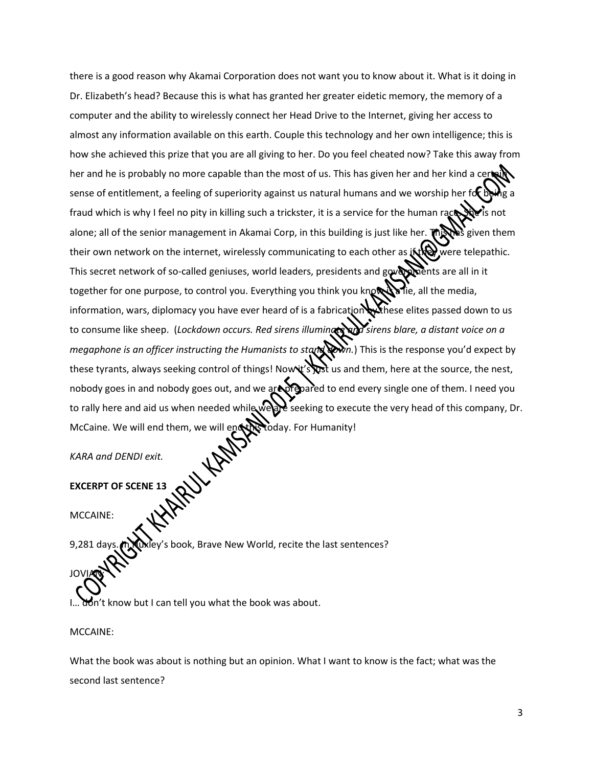there is a good reason why Akamai Corporation does not want you to know about it. What is it doing in Dr. Elizabeth's head? Because this is what has granted her greater eidetic memory, the memory of a computer and the ability to wirelessly connect her Head Drive to the Internet, giving her access to almost any information available on this earth. Couple this technology and her own intelligence; this is how she achieved this prize that you are all giving to her. Do you feel cheated now? Take this away from her and he is probably no more capable than the most of us. This has given her and her kind a ce sense of entitlement, a feeling of superiority against us natural humans and we worship her fd fraud which is why I feel no pity in killing such a trickster, it is a service for the human race. She is not alone; all of the senior management in Akamai Corp, in this building is just like her. **This has** given them their own network on the internet, wirelessly communicating to each other as it they were telepathic. This secret network of so-called geniuses, world leaders, presidents and governments are all in it together for one purpose, to control you. Everything you think you know is all the media, information, wars, diplomacy you have ever heard of is a fabrication withese elites passed down to us to consume like sheep. (*Lockdown occurs. Red sirens illuminate and sirens blare, a distant voice on a megaphone is an officer instructing the Humanists to stand down.*) This is the response you'd expect by these tyrants, always seeking control of things! Nowit's  $\sum x$  us and them, here at the source, the nest, nobody goes in and nobody goes out, and we are prepared to end every single one of them. I need you to rally here and aid us when needed while we are seeking to execute the very head of this company, Dr. McCaine. We will end them, we will end the today. For Humanity!

*KARA and DENDI exit.*

**EXCERPT OF SCENE 13**

MCCAINE:

JOVIAN<sup>:</sup>

y's book, Brave New World, recite the last sentences?

on't know but I can tell you what the book was about.

MCCAINE:

What the book was about is nothing but an opinion. What I want to know is the fact; what was the second last sentence?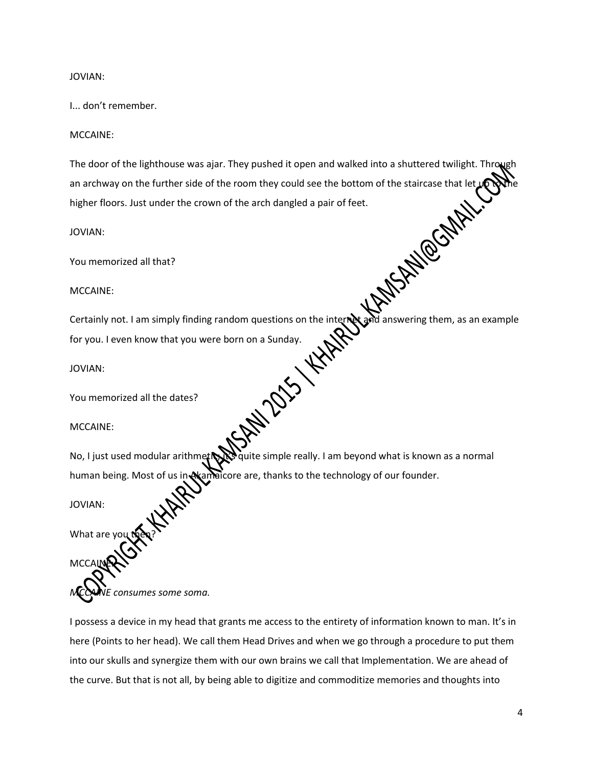## JOVIAN:

## I... don't remember.

# MCCAINE:

The door of the lighthouse was ajar. They pushed it open and walked into a shuttered twilight. Thro an archway on the further side of the room they could see the bottom of the staircase that let<br>higher floors. Just under the crown of the arch dangled a pair of feet.<br>JOVIAN:<br>You memorized all that?<br>MCCAINE:<br>Certainly refe higher floors. Just under the crown of the arch dangled a pair of feet.

JOVIAN:

You memorized all that?

### MCCAINE:

Certainly not. I am simply finding random questions on the internet and answering them, as an example for you. I even know that you were born on a Sunday.

JOVIAN:

You memorized all the dates?

MCCAINE:

No, I just used modular arithmetics quite simple really. I am beyond what is known as a normal human being. Most of us in A amaicore are, thanks to the technology of our founder.

JOVIAN:

M<sub>C</sub>C

What are vo

*MCCAINE consumes some soma.* 

I possess a device in my head that grants me access to the entirety of information known to man. It's in here (Points to her head). We call them Head Drives and when we go through a procedure to put them into our skulls and synergize them with our own brains we call that Implementation. We are ahead of the curve. But that is not all, by being able to digitize and commoditize memories and thoughts into